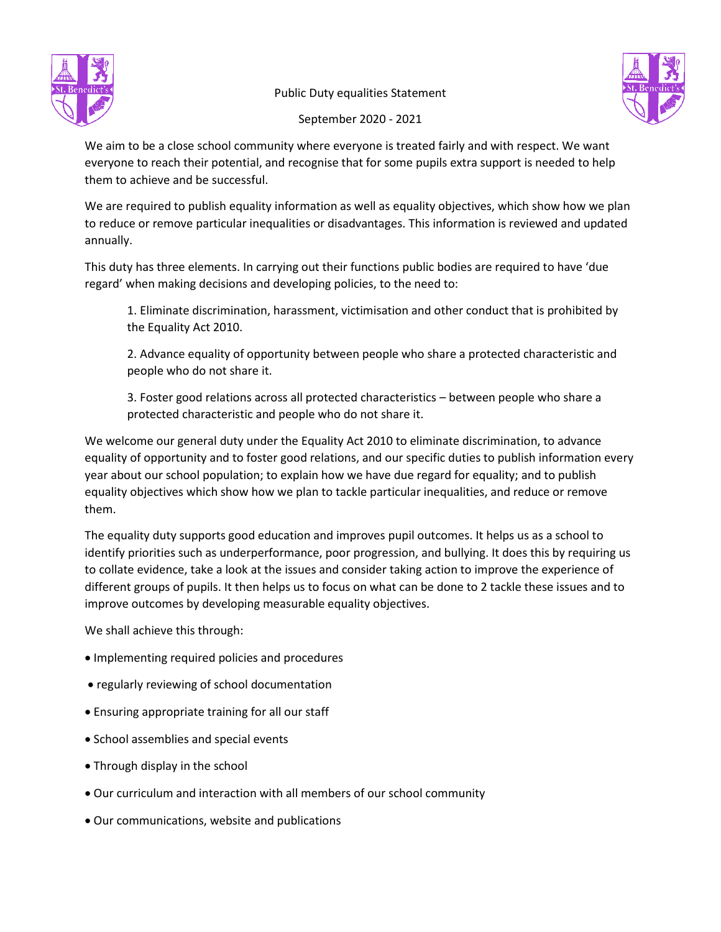



September 2020 - 2021

We aim to be a close school community where everyone is treated fairly and with respect. We want everyone to reach their potential, and recognise that for some pupils extra support is needed to help them to achieve and be successful.

We are required to publish equality information as well as equality objectives, which show how we plan to reduce or remove particular inequalities or disadvantages. This information is reviewed and updated annually.

This duty has three elements. In carrying out their functions public bodies are required to have 'due regard' when making decisions and developing policies, to the need to:

1. Eliminate discrimination, harassment, victimisation and other conduct that is prohibited by the Equality Act 2010.

2. Advance equality of opportunity between people who share a protected characteristic and people who do not share it.

3. Foster good relations across all protected characteristics – between people who share a protected characteristic and people who do not share it.

We welcome our general duty under the Equality Act 2010 to eliminate discrimination, to advance equality of opportunity and to foster good relations, and our specific duties to publish information every year about our school population; to explain how we have due regard for equality; and to publish equality objectives which show how we plan to tackle particular inequalities, and reduce or remove them.

The equality duty supports good education and improves pupil outcomes. It helps us as a school to identify priorities such as underperformance, poor progression, and bullying. It does this by requiring us to collate evidence, take a look at the issues and consider taking action to improve the experience of different groups of pupils. It then helps us to focus on what can be done to 2 tackle these issues and to improve outcomes by developing measurable equality objectives.

We shall achieve this through:

- Implementing required policies and procedures
- regularly reviewing of school documentation
- Ensuring appropriate training for all our staff
- School assemblies and special events
- Through display in the school
- Our curriculum and interaction with all members of our school community
- Our communications, website and publications